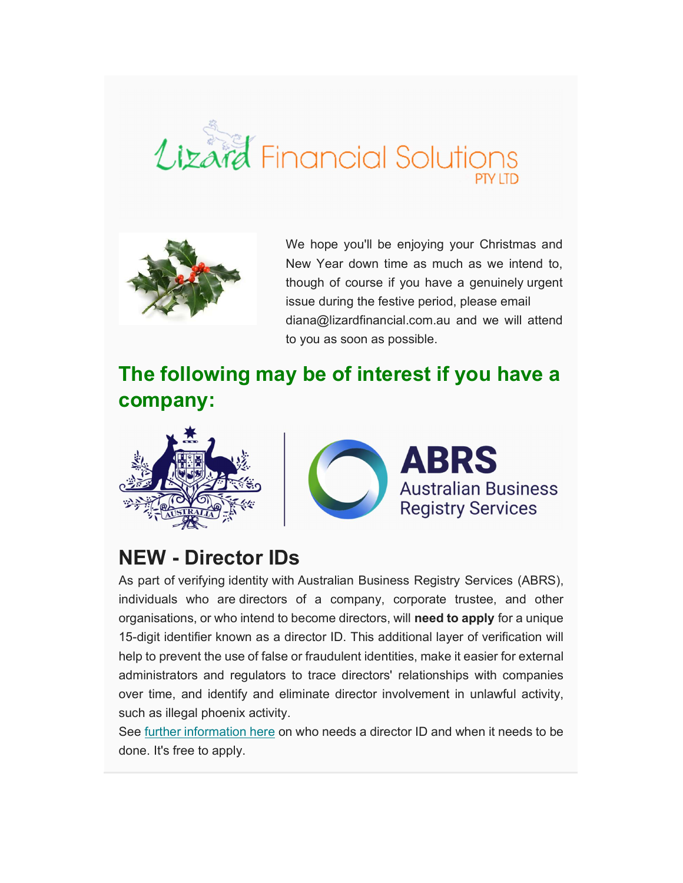



We hope you'll be enjoying your Christmas and New Year down time as much as we intend to, though of course if you have a genuinely urgent issue during the festive period, please email diana@lizardfinancial.com.au and we will attend to you as soon as possible.

## The following may be of interest if you have a company:





#### NEW - Director IDs

As part of verifying identity with Australian Business Registry Services (ABRS), individuals who are directors of a company, corporate trustee, and other organisations, or who intend to become directors, will need to apply for a unique 15-digit identifier known as a director ID. This additional layer of verification will help to prevent the use of false or fraudulent identities, make it easier for external administrators and regulators to trace directors' relationships with companies over time, and identify and eliminate director involvement in unlawful activity, such as illegal phoenix activity.

See further information here on who needs a director ID and when it needs to be done. It's free to apply.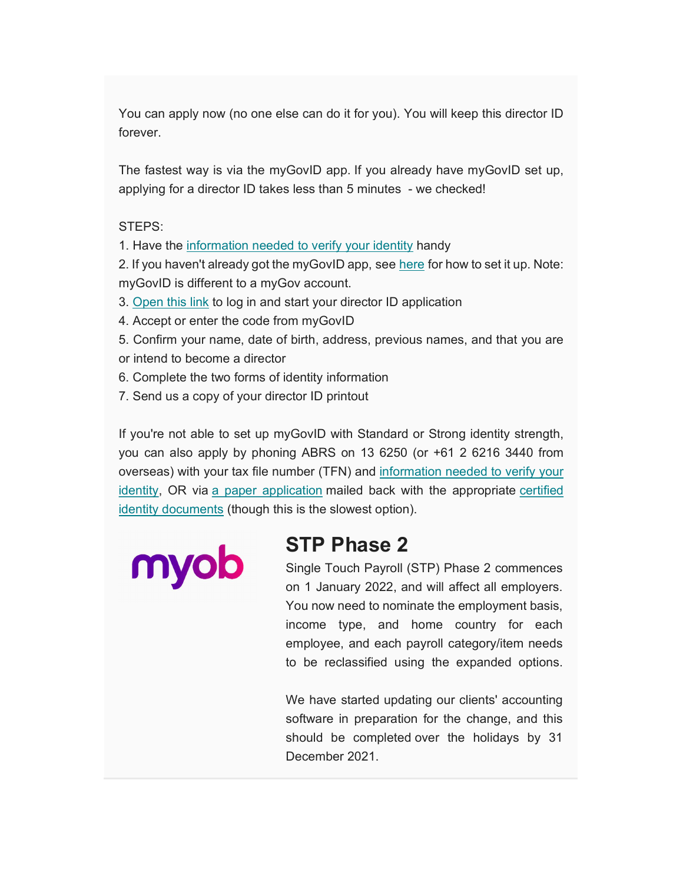You can apply now (no one else can do it for you). You will keep this director ID forever.

The fastest way is via the myGovID app. If you already have myGovID set up, applying for a director ID takes less than 5 minutes - we checked!

#### STEPS:

1. Have the information needed to verify your identity handy

2. If you haven't already got the myGovID app, see here for how to set it up. Note: myGovID is different to a myGov account.

- 3. Open this link to log in and start your director ID application
- 4. Accept or enter the code from myGovID
- 5. Confirm your name, date of birth, address, previous names, and that you are or intend to become a director
- 6. Complete the two forms of identity information
- 7. Send us a copy of your director ID printout

If you're not able to set up myGovID with Standard or Strong identity strength, you can also apply by phoning ABRS on 13 6250 (or +61 2 6216 3440 from overseas) with your tax file number (TFN) and information needed to verify your identity, OR via a paper application mailed back with the appropriate certified identity documents (though this is the slowest option).

myob

#### STP Phase 2

Single Touch Payroll (STP) Phase 2 commences on 1 January 2022, and will affect all employers. You now need to nominate the employment basis, income type, and home country for each employee, and each payroll category/item needs to be reclassified using the expanded options.

We have started updating our clients' accounting software in preparation for the change, and this should be completed over the holidays by 31 December 2021.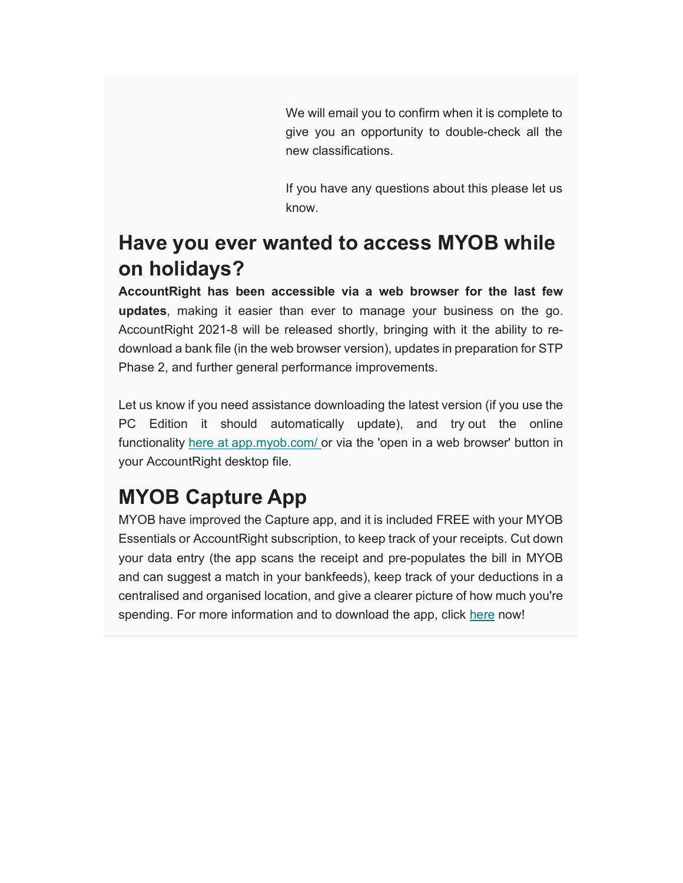We will email you to confirm when it is complete to give you an opportunity to double-check all the new classifications.

If you have any questions about this please let us know.

### Have you ever wanted to access MYOB while on holidays?

AccountRight has been accessible via a web browser for the last few updates, making it easier than ever to manage your business on the go. AccountRight 2021-8 will be released shortly, bringing with it the ability to redownload a bank file (in the web browser version), updates in preparation for STP Phase 2, and further general performance improvements.

Let us know if you need assistance downloading the latest version (if you use the PC Edition it should automatically update), and try out the online functionality here at app.myob.com/ or via the 'open in a web browser' button in your AccountRight desktop file.

# MYOB Capture App

MYOB have improved the Capture app, and it is included FREE with your MYOB Essentials or AccountRight subscription, to keep track of your receipts. Cut down your data entry (the app scans the receipt and pre-populates the bill in MYOB and can suggest a match in your bankfeeds), keep track of your deductions in a centralised and organised location, and give a clearer picture of how much you're spending. For more information and to download the app, click here now!